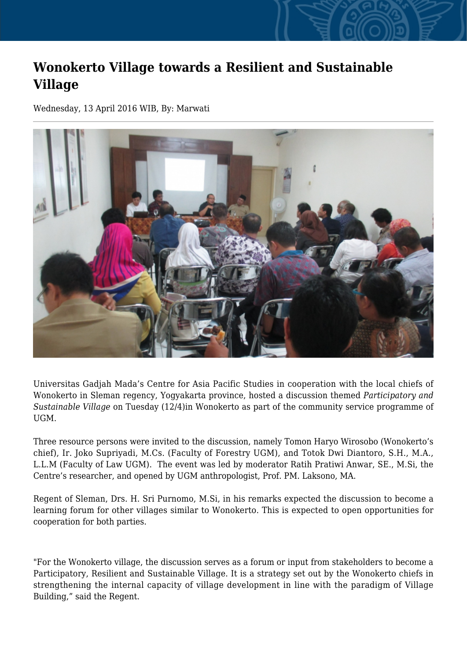## **Wonokerto Village towards a Resilient and Sustainable Village**

Wednesday, 13 April 2016 WIB, By: Marwati



Universitas Gadjah Mada's Centre for Asia Pacific Studies in cooperation with the local chiefs of Wonokerto in Sleman regency, Yogyakarta province, hosted a discussion themed *Participatory and Sustainable Village* on Tuesday (12/4)in Wonokerto as part of the community service programme of UGM.

Three resource persons were invited to the discussion, namely Tomon Haryo Wirosobo (Wonokerto's chief), Ir. Joko Supriyadi, M.Cs. (Faculty of Forestry UGM), and Totok Dwi Diantoro, S.H., M.A., L.L.M (Faculty of Law UGM). The event was led by moderator Ratih Pratiwi Anwar, SE., M.Si, the Centre's researcher, and opened by UGM anthropologist, Prof. PM. Laksono, MA.

Regent of Sleman, Drs. H. Sri Purnomo, M.Si, in his remarks expected the discussion to become a learning forum for other villages similar to Wonokerto. This is expected to open opportunities for cooperation for both parties.

"For the Wonokerto village, the discussion serves as a forum or input from stakeholders to become a Participatory, Resilient and Sustainable Village. It is a strategy set out by the Wonokerto chiefs in strengthening the internal capacity of village development in line with the paradigm of Village Building," said the Regent.